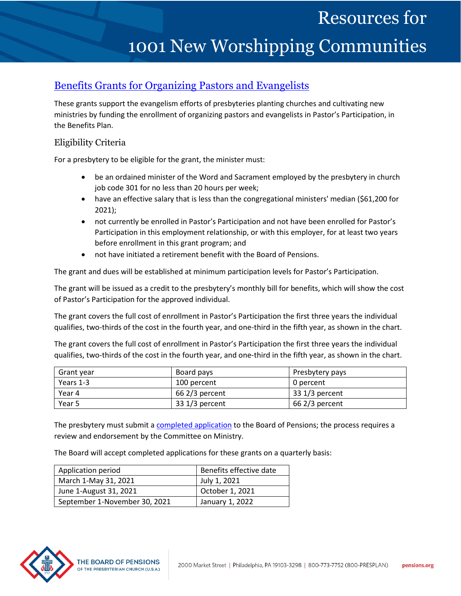# Resources for

# 1001 New Worshipping Communities

## [Benefits Grants for Organizing Pastors and Evangelists](http://www.pensions.org/what-we-offer/benefits-packages/Benefits-grants-for-organizing-pastors-and-evangelists)

These grants support the evangelism efforts of presbyteries planting churches and cultivating new ministries by funding the enrollment of organizing pastors and evangelists in Pastor's Participation, in the Benefits Plan.

#### Eligibility Criteria

For a presbytery to be eligible for the grant, the minister must:

- be an ordained minister of the Word and Sacrament employed by the presbytery in church job code 301 for no less than 20 hours per week;
- have an effective salary that is less than the congregational ministers' median (\$61,200 for 2021);
- not currently be enrolled in Pastor's Participation and not have been enrolled for Pastor's Participation in this employment relationship, or with this employer, for at least two years before enrollment in this grant program; and
- not have initiated a retirement benefit with the Board of Pensions.

The grant and dues will be established at minimum participation levels for Pastor's Participation.

The grant will be issued as a credit to the presbytery's monthly bill for benefits, which will show the cost of Pastor's Participation for the approved individual.

The grant covers the full cost of enrollment in Pastor's Participation the first three years the individual qualifies, two-thirds of the cost in the fourth year, and one-third in the fifth year, as shown in the chart.

The grant covers the full cost of enrollment in Pastor's Participation the first three years the individual qualifies, two-thirds of the cost in the fourth year, and one-third in the fifth year, as shown in the chart.

| Grant year | Board pays      | Presbytery pays |
|------------|-----------------|-----------------|
| Years 1-3  | 100 percent     | 0 percent       |
| Year 4     | $662/3$ percent | $331/3$ percent |
| Year 5     | $331/3$ percent | $662/3$ percent |

The presbytery must submit a [completed application](http://www.pensions.org/file/what-we-offer/benefits-guidance/forms/Documents/arh-902.pdf/) to the Board of Pensions; the process requires a review and endorsement by the Committee on Ministry.

The Board will accept completed applications for these grants on a quarterly basis:

| Application period            | Benefits effective date |
|-------------------------------|-------------------------|
| March 1-May 31, 2021          | July 1, 2021            |
| June 1-August 31, 2021        | October 1, 2021         |
| September 1-November 30, 2021 | January 1, 2022         |